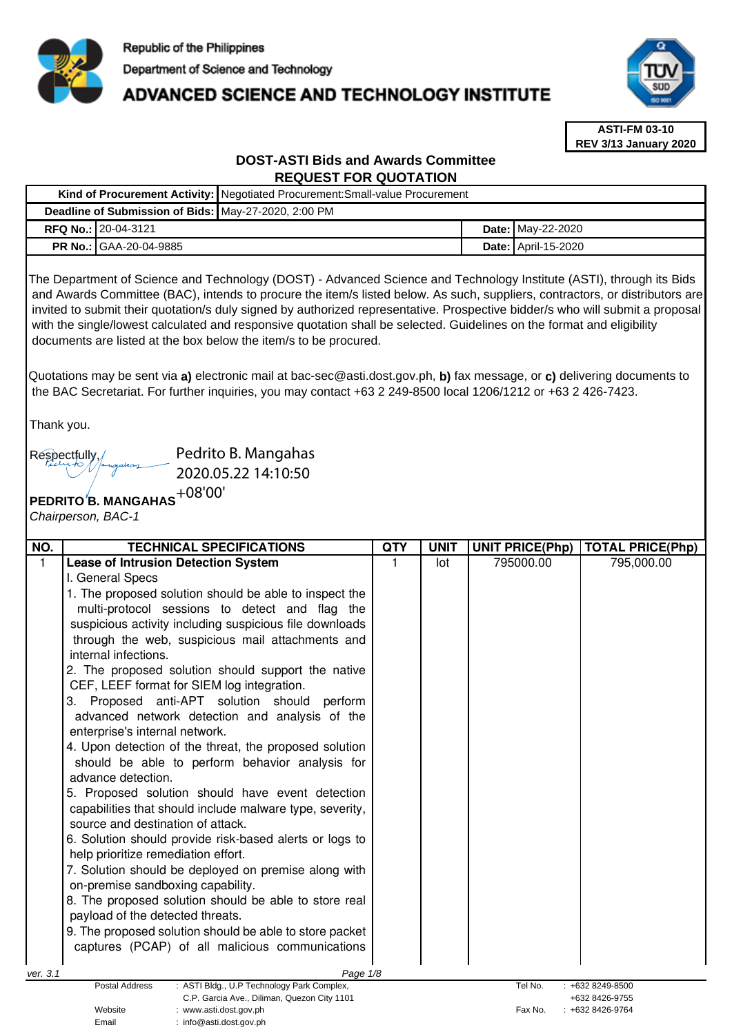

# ADVANCED SCIENCE AND TECHNOLOGY INSTITUTE



**ASTI-FM 03-10 REV 3/13 January 2020**

# **DOST-ASTI Bids and Awards Committee REQUEST FOR QUOTATION**

|                                                                                                                                                                                                                                                                                                                                                                                                                                                                                                                                                                                     |                                                                                                                                                                                                                                                                                                                                                                                                                                                                                                                                                                                                                                                                                                                                           | Kind of Procurement Activity: Negotiated Procurement: Small-value Procurement                                                                                                                                                                                                                                                                                                                                                                                                                                     |                 |             |  |                        |                         |  |  |  |  |
|-------------------------------------------------------------------------------------------------------------------------------------------------------------------------------------------------------------------------------------------------------------------------------------------------------------------------------------------------------------------------------------------------------------------------------------------------------------------------------------------------------------------------------------------------------------------------------------|-------------------------------------------------------------------------------------------------------------------------------------------------------------------------------------------------------------------------------------------------------------------------------------------------------------------------------------------------------------------------------------------------------------------------------------------------------------------------------------------------------------------------------------------------------------------------------------------------------------------------------------------------------------------------------------------------------------------------------------------|-------------------------------------------------------------------------------------------------------------------------------------------------------------------------------------------------------------------------------------------------------------------------------------------------------------------------------------------------------------------------------------------------------------------------------------------------------------------------------------------------------------------|-----------------|-------------|--|------------------------|-------------------------|--|--|--|--|
|                                                                                                                                                                                                                                                                                                                                                                                                                                                                                                                                                                                     | Deadline of Submission of Bids: May-27-2020, 2:00 PM                                                                                                                                                                                                                                                                                                                                                                                                                                                                                                                                                                                                                                                                                      |                                                                                                                                                                                                                                                                                                                                                                                                                                                                                                                   |                 |             |  |                        |                         |  |  |  |  |
|                                                                                                                                                                                                                                                                                                                                                                                                                                                                                                                                                                                     | RFQ No.: 20-04-3121                                                                                                                                                                                                                                                                                                                                                                                                                                                                                                                                                                                                                                                                                                                       |                                                                                                                                                                                                                                                                                                                                                                                                                                                                                                                   |                 |             |  | Date: May-22-2020      |                         |  |  |  |  |
|                                                                                                                                                                                                                                                                                                                                                                                                                                                                                                                                                                                     | PR No.: GAA-20-04-9885                                                                                                                                                                                                                                                                                                                                                                                                                                                                                                                                                                                                                                                                                                                    |                                                                                                                                                                                                                                                                                                                                                                                                                                                                                                                   |                 |             |  | Date: April-15-2020    |                         |  |  |  |  |
| The Department of Science and Technology (DOST) - Advanced Science and Technology Institute (ASTI), through its Bids<br>and Awards Committee (BAC), intends to procure the item/s listed below. As such, suppliers, contractors, or distributors are<br>invited to submit their quotation/s duly signed by authorized representative. Prospective bidder/s who will submit a proposal<br>with the single/lowest calculated and responsive quotation shall be selected. Guidelines on the format and eligibility<br>documents are listed at the box below the item/s to be procured. |                                                                                                                                                                                                                                                                                                                                                                                                                                                                                                                                                                                                                                                                                                                                           |                                                                                                                                                                                                                                                                                                                                                                                                                                                                                                                   |                 |             |  |                        |                         |  |  |  |  |
| Thank you.                                                                                                                                                                                                                                                                                                                                                                                                                                                                                                                                                                          |                                                                                                                                                                                                                                                                                                                                                                                                                                                                                                                                                                                                                                                                                                                                           | Quotations may be sent via a) electronic mail at bac-sec@asti.dost.gov.ph, b) fax message, or c) delivering documents to<br>the BAC Secretariat. For further inquiries, you may contact +63 2 249-8500 local 1206/1212 or +63 2 426-7423.                                                                                                                                                                                                                                                                         |                 |             |  |                        |                         |  |  |  |  |
|                                                                                                                                                                                                                                                                                                                                                                                                                                                                                                                                                                                     | Pedrito B. Mangahas<br>Respectfully<br>2020.05.22 14:10:50<br>PEDRITO'S. MANGAHAS <sup>+08'00'</sup><br>Chairperson, BAC-1                                                                                                                                                                                                                                                                                                                                                                                                                                                                                                                                                                                                                |                                                                                                                                                                                                                                                                                                                                                                                                                                                                                                                   |                 |             |  |                        |                         |  |  |  |  |
| NO.<br>$\mathbf{1}$                                                                                                                                                                                                                                                                                                                                                                                                                                                                                                                                                                 | <b>TECHNICAL SPECIFICATIONS</b>                                                                                                                                                                                                                                                                                                                                                                                                                                                                                                                                                                                                                                                                                                           |                                                                                                                                                                                                                                                                                                                                                                                                                                                                                                                   | <b>QTY</b><br>1 | <b>UNIT</b> |  | <b>UNIT PRICE(Php)</b> | <b>TOTAL PRICE(Php)</b> |  |  |  |  |
|                                                                                                                                                                                                                                                                                                                                                                                                                                                                                                                                                                                     | <b>Lease of Intrusion Detection System</b><br>I. General Specs<br>internal infections.<br>2. The proposed solution should support the native<br>CEF, LEEF format for SIEM log integration.<br>3. Proposed anti-APT solution should<br>enterprise's internal network.<br>4. Upon detection of the threat, the proposed solution<br>advance detection.<br>5. Proposed solution should have event detection<br>source and destination of attack.<br>6. Solution should provide risk-based alerts or logs to<br>help prioritize remediation effort.<br>7. Solution should be deployed on premise along with<br>on-premise sandboxing capability.<br>8. The proposed solution should be able to store real<br>payload of the detected threats. | 1. The proposed solution should be able to inspect the<br>multi-protocol sessions to detect and flag the<br>suspicious activity including suspicious file downloads<br>through the web, suspicious mail attachments and<br>perform<br>advanced network detection and analysis of the<br>should be able to perform behavior analysis for<br>capabilities that should include malware type, severity,<br>9. The proposed solution should be able to store packet<br>captures (PCAP) of all malicious communications |                 | lot         |  | 795000.00              | 795,000.00              |  |  |  |  |
| ver. 3.1                                                                                                                                                                                                                                                                                                                                                                                                                                                                                                                                                                            | <b>Postal Address</b>                                                                                                                                                                                                                                                                                                                                                                                                                                                                                                                                                                                                                                                                                                                     | Page 1/8<br>: ASTI Bldg., U.P Technology Park Complex,                                                                                                                                                                                                                                                                                                                                                                                                                                                            |                 |             |  | Tel No.                | $: +6328249-8500$       |  |  |  |  |
|                                                                                                                                                                                                                                                                                                                                                                                                                                                                                                                                                                                     |                                                                                                                                                                                                                                                                                                                                                                                                                                                                                                                                                                                                                                                                                                                                           | C.P. Garcia Ave., Diliman, Quezon City 1101                                                                                                                                                                                                                                                                                                                                                                                                                                                                       |                 |             |  |                        | +632 8426-9755          |  |  |  |  |

Website : www.asti.dost.gov.ph **Fax No.** : +632 8426-9764

Email : info@asti.dost.gov.ph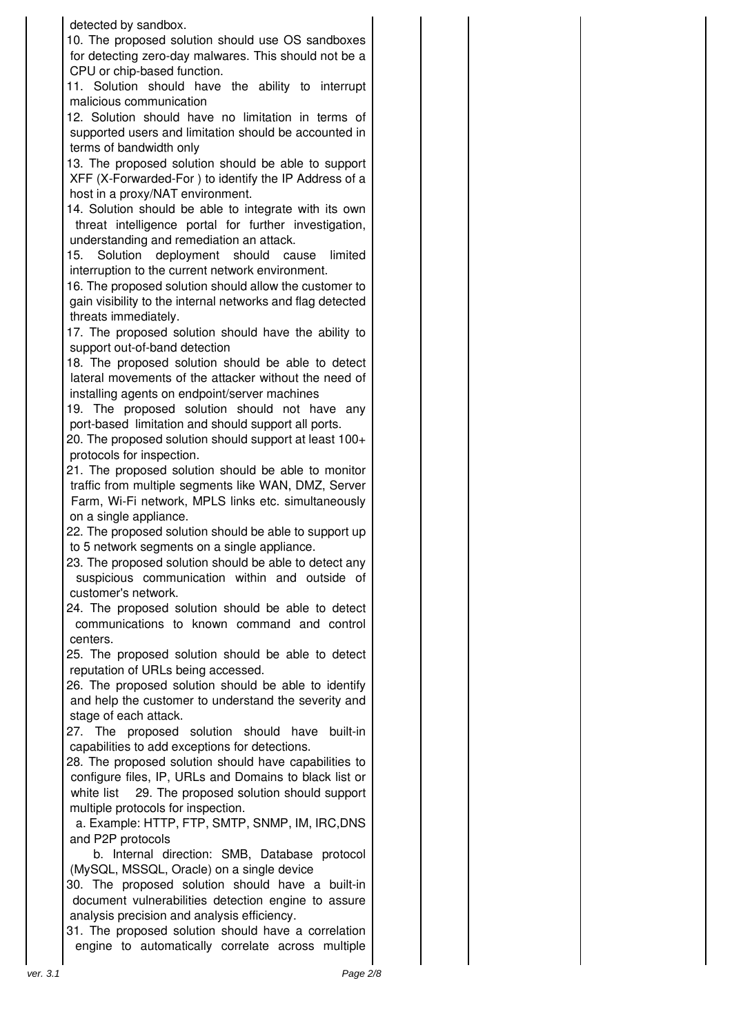#### detected by sandbox.

10. The proposed solution should use OS sandboxes for detecting zero-day malwares. This should not be a CPU or chip-based function.

11. Solution should have the ability to interrupt malicious communication

12. Solution should have no limitation in terms of supported users and limitation should be accounted in terms of bandwidth only

13. The proposed solution should be able to support XFF (X-Forwarded-For ) to identify the IP Address of a host in a proxy/NAT environment.

14. Solution should be able to integrate with its own threat intelligence portal for further investigation, understanding and remediation an attack.

15. Solution deployment should cause limited interruption to the current network environment.

16. The proposed solution should allow the customer to gain visibility to the internal networks and flag detected threats immediately.

17. The proposed solution should have the ability to support out-of-band detection

18. The proposed solution should be able to detect lateral movements of the attacker without the need of installing agents on endpoint/server machines

19. The proposed solution should not have any port-based limitation and should support all ports.

20. The proposed solution should support at least 100+ protocols for inspection.

21. The proposed solution should be able to monitor traffic from multiple segments like WAN, DMZ, Server Farm, Wi-Fi network, MPLS links etc. simultaneously on a single appliance.

22. The proposed solution should be able to support up to 5 network segments on a single appliance.

23. The proposed solution should be able to detect any suspicious communication within and outside of customer's network.

24. The proposed solution should be able to detect communications to known command and control centers.

25. The proposed solution should be able to detect reputation of URLs being accessed.

26. The proposed solution should be able to identify and help the customer to understand the severity and stage of each attack.

27. The proposed solution should have built-in capabilities to add exceptions for detections.

28. The proposed solution should have capabilities to configure files, IP, URLs and Domains to black list or white list 29. The proposed solution should support multiple protocols for inspection.

a. Example: HTTP, FTP, SMTP, SNMP, IM, IRC,DNS and P2P protocols

b. Internal direction: SMB, Database protocol (MySQL, MSSQL, Oracle) on a single device

30. The proposed solution should have a built-in document vulnerabilities detection engine to assure analysis precision and analysis efficiency.

31. The proposed solution should have a correlation engine to automatically correlate across multiple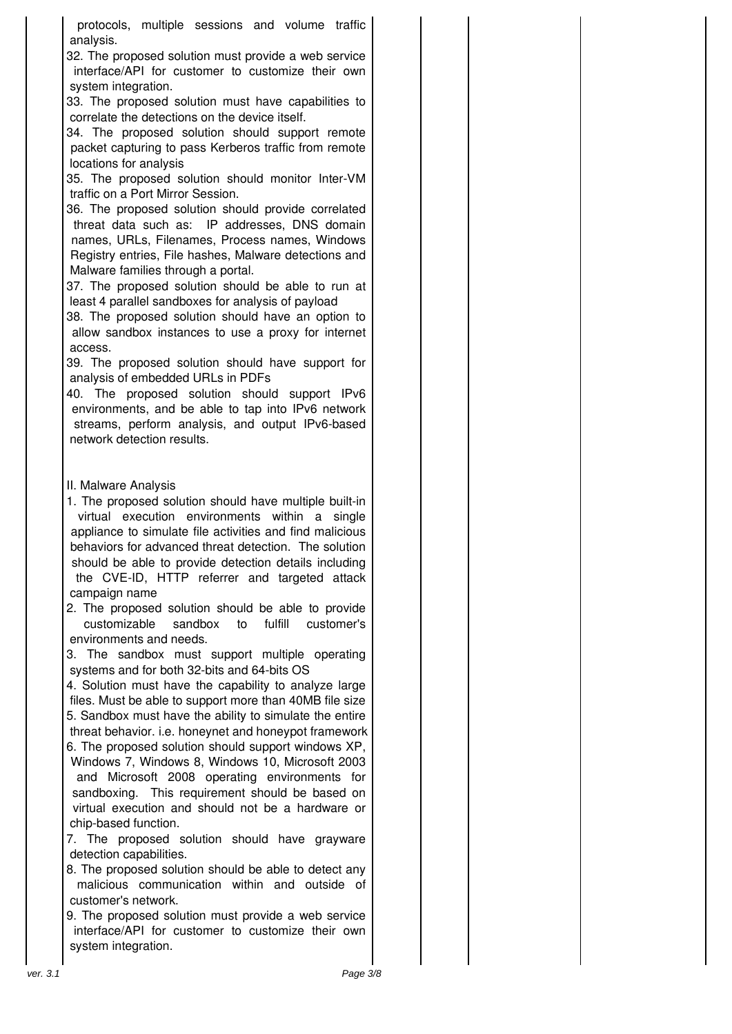protocols, multiple sessions and volume traffic analysis.

32. The proposed solution must provide a web service interface/API for customer to customize their own system integration.

33. The proposed solution must have capabilities to correlate the detections on the device itself.

34. The proposed solution should support remote packet capturing to pass Kerberos traffic from remote locations for analysis

35. The proposed solution should monitor Inter-VM traffic on a Port Mirror Session.

36. The proposed solution should provide correlated threat data such as: IP addresses, DNS domain names, URLs, Filenames, Process names, Windows Registry entries, File hashes, Malware detections and Malware families through a portal.

37. The proposed solution should be able to run at least 4 parallel sandboxes for analysis of payload

38. The proposed solution should have an option to allow sandbox instances to use a proxy for internet access.

39. The proposed solution should have support for analysis of embedded URLs in PDFs

40. The proposed solution should support IPv6 environments, and be able to tap into IPv6 network streams, perform analysis, and output IPv6-based network detection results.

### II. Malware Analysis

1. The proposed solution should have multiple built-in virtual execution environments within a single appliance to simulate file activities and find malicious behaviors for advanced threat detection. The solution should be able to provide detection details including the CVE-ID, HTTP referrer and targeted attack campaign name

2. The proposed solution should be able to provide customizable sandbox to fulfill customer's environments and needs.

3. The sandbox must support multiple operating systems and for both 32-bits and 64-bits OS

4. Solution must have the capability to analyze large files. Must be able to support more than 40MB file size 5. Sandbox must have the ability to simulate the entire threat behavior. i.e. honeynet and honeypot framework 6. The proposed solution should support windows XP,

Windows 7, Windows 8, Windows 10, Microsoft 2003 and Microsoft 2008 operating environments for sandboxing. This requirement should be based on virtual execution and should not be a hardware or chip-based function.

7. The proposed solution should have grayware detection capabilities.

8. The proposed solution should be able to detect any malicious communication within and outside of customer's network.

9. The proposed solution must provide a web service interface/API for customer to customize their own system integration.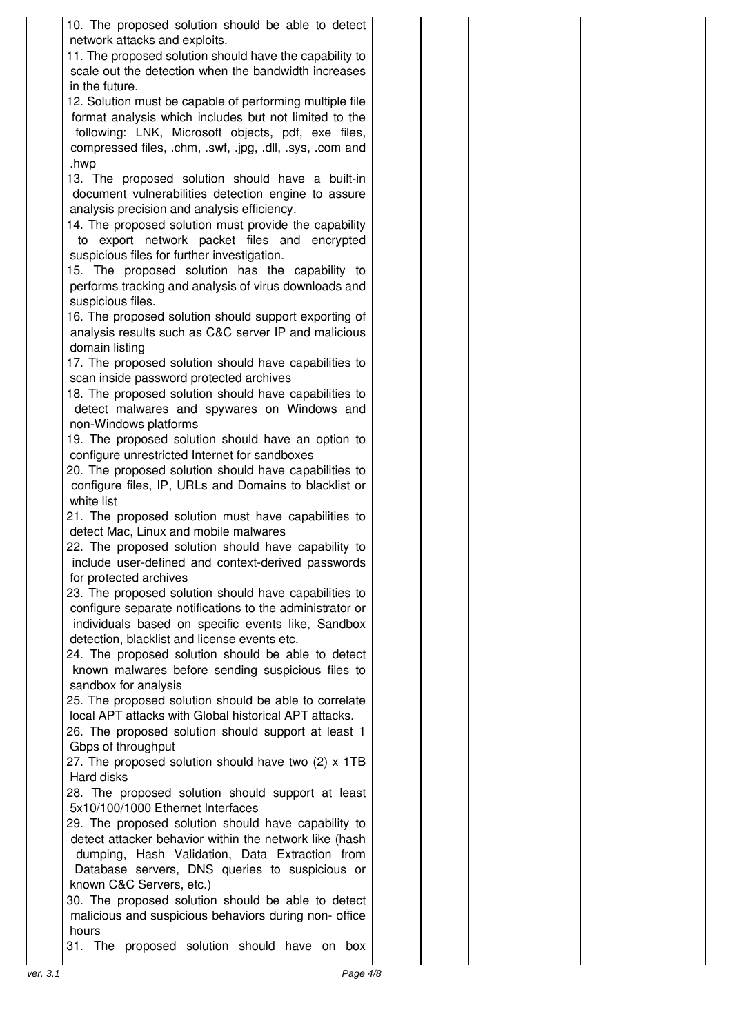10. The proposed solution should be able to detect network attacks and exploits. 11. The proposed solution should have the capability to scale out the detection when the bandwidth increases in the future. 12. Solution must be capable of performing multiple file format analysis which includes but not limited to the following: LNK, Microsoft objects, pdf, exe files, compressed files, .chm, .swf, .jpg, .dll, .sys, .com and .hwp 13. The proposed solution should have a built-in document vulnerabilities detection engine to assure analysis precision and analysis efficiency. 14. The proposed solution must provide the capability to export network packet files and encrypted suspicious files for further investigation. 15. The proposed solution has the capability to performs tracking and analysis of virus downloads and suspicious files. 16. The proposed solution should support exporting of analysis results such as C&C server IP and malicious domain listing 17. The proposed solution should have capabilities to scan inside password protected archives 18. The proposed solution should have capabilities to detect malwares and spywares on Windows and non-Windows platforms 19. The proposed solution should have an option to configure unrestricted Internet for sandboxes 20. The proposed solution should have capabilities to configure files, IP, URLs and Domains to blacklist or white list 21. The proposed solution must have capabilities to detect Mac, Linux and mobile malwares 22. The proposed solution should have capability to include user-defined and context-derived passwords for protected archives 23. The proposed solution should have capabilities to configure separate notifications to the administrator or individuals based on specific events like, Sandbox detection, blacklist and license events etc. 24. The proposed solution should be able to detect known malwares before sending suspicious files to sandbox for analysis 25. The proposed solution should be able to correlate local APT attacks with Global historical APT attacks.

26. The proposed solution should support at least 1 Gbps of throughput

27. The proposed solution should have two (2) x 1TB Hard disks

28. The proposed solution should support at least 5x10/100/1000 Ethernet Interfaces

29. The proposed solution should have capability to detect attacker behavior within the network like (hash dumping, Hash Validation, Data Extraction from Database servers, DNS queries to suspicious or known C&C Servers, etc.)

30. The proposed solution should be able to detect malicious and suspicious behaviors during non- office hours

31. The proposed solution should have on box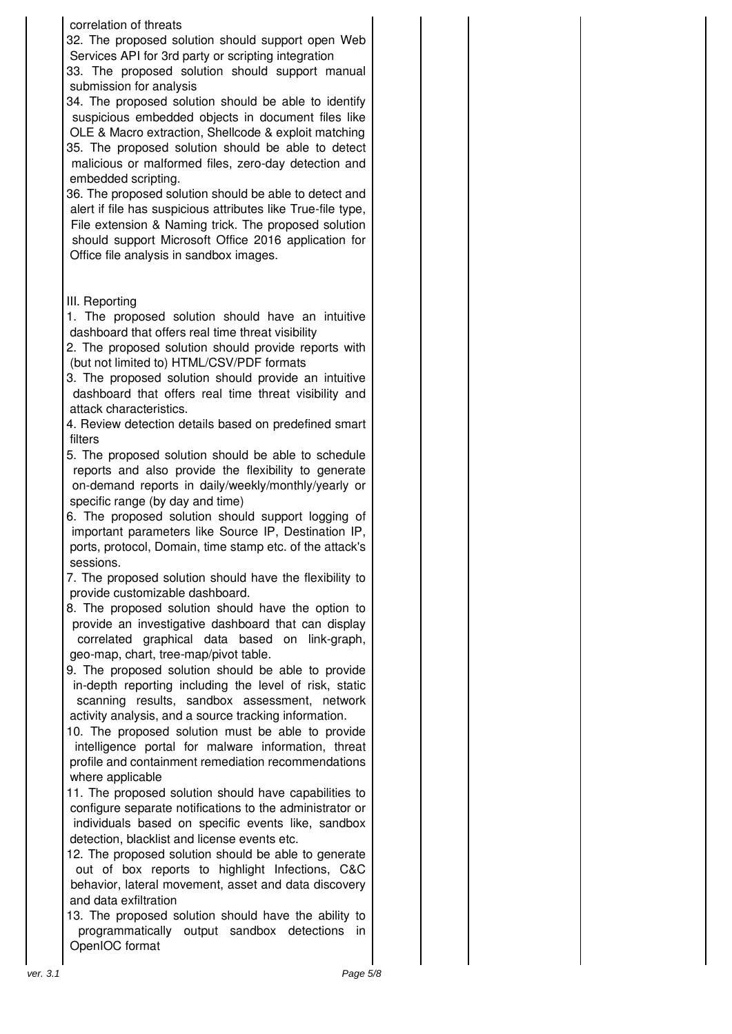#### correlation of threats

32. The proposed solution should support open Web Services API for 3rd party or scripting integration

33. The proposed solution should support manual submission for analysis

34. The proposed solution should be able to identify suspicious embedded objects in document files like OLE & Macro extraction, Shellcode & exploit matching 35. The proposed solution should be able to detect malicious or malformed files, zero-day detection and embedded scripting.

36. The proposed solution should be able to detect and alert if file has suspicious attributes like True-file type, File extension & Naming trick. The proposed solution should support Microsoft Office 2016 application for Office file analysis in sandbox images.

# III. Reporting

- 1. The proposed solution should have an intuitive dashboard that offers real time threat visibility
- 2. The proposed solution should provide reports with (but not limited to) HTML/CSV/PDF formats
- 3. The proposed solution should provide an intuitive dashboard that offers real time threat visibility and attack characteristics.
- 4. Review detection details based on predefined smart filters
- 5. The proposed solution should be able to schedule reports and also provide the flexibility to generate on-demand reports in daily/weekly/monthly/yearly or specific range (by day and time)
- 6. The proposed solution should support logging of important parameters like Source IP, Destination IP, ports, protocol, Domain, time stamp etc. of the attack's sessions.

7. The proposed solution should have the flexibility to provide customizable dashboard.

- 8. The proposed solution should have the option to provide an investigative dashboard that can display correlated graphical data based on link-graph, geo-map, chart, tree-map/pivot table.
- 9. The proposed solution should be able to provide in-depth reporting including the level of risk, static scanning results, sandbox assessment, network activity analysis, and a source tracking information.

10. The proposed solution must be able to provide intelligence portal for malware information, threat profile and containment remediation recommendations where applicable

11. The proposed solution should have capabilities to configure separate notifications to the administrator or individuals based on specific events like, sandbox detection, blacklist and license events etc.

12. The proposed solution should be able to generate out of box reports to highlight Infections, C&C behavior, lateral movement, asset and data discovery and data exfiltration

13. The proposed solution should have the ability to programmatically output sandbox detections in OpenIOC format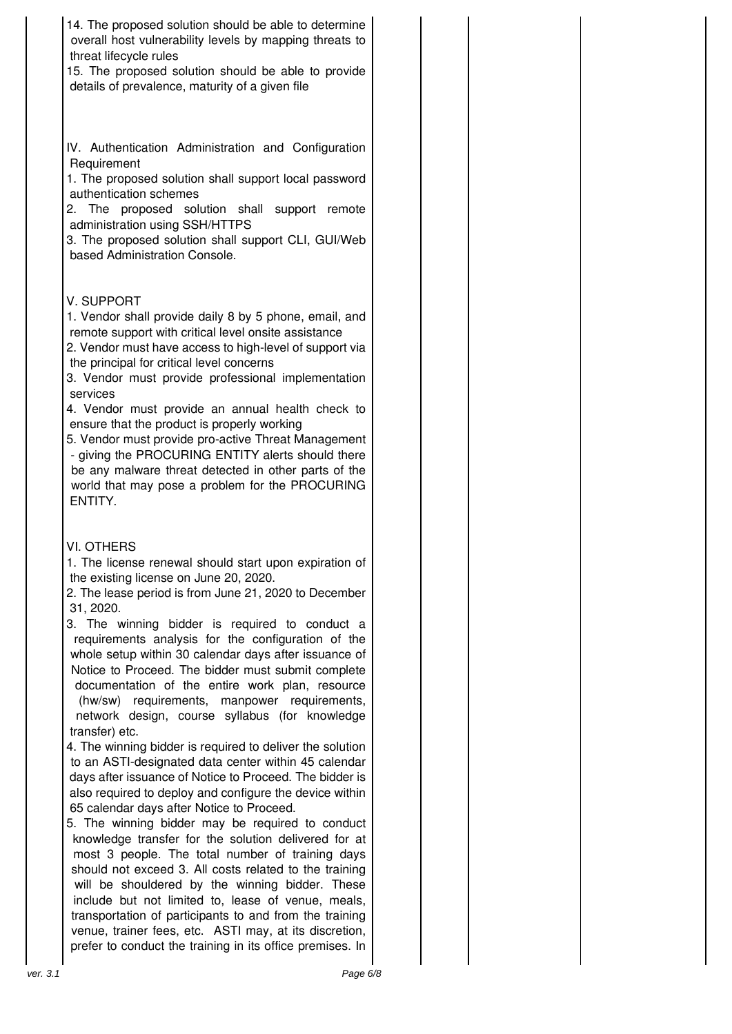14. The proposed solution should be able to determine overall host vulnerability levels by mapping threats to threat lifecycle rules

15. The proposed solution should be able to provide details of prevalence, maturity of a given file

IV. Authentication Administration and Configuration Requirement

1. The proposed solution shall support local password authentication schemes

2. The proposed solution shall support remote administration using SSH/HTTPS

3. The proposed solution shall support CLI, GUI/Web based Administration Console.

## V. SUPPORT

1. Vendor shall provide daily 8 by 5 phone, email, and remote support with critical level onsite assistance

2. Vendor must have access to high-level of support via the principal for critical level concerns

3. Vendor must provide professional implementation services

4. Vendor must provide an annual health check to ensure that the product is properly working

5. Vendor must provide pro-active Threat Management - giving the PROCURING ENTITY alerts should there be any malware threat detected in other parts of the world that may pose a problem for the PROCURING ENTITY.

### VI. OTHERS

1. The license renewal should start upon expiration of the existing license on June 20, 2020.

2. The lease period is from June 21, 2020 to December 31, 2020.

3. The winning bidder is required to conduct a requirements analysis for the configuration of the whole setup within 30 calendar days after issuance of Notice to Proceed. The bidder must submit complete documentation of the entire work plan, resource (hw/sw) requirements, manpower requirements, network design, course syllabus (for knowledge transfer) etc.

4. The winning bidder is required to deliver the solution to an ASTI-designated data center within 45 calendar days after issuance of Notice to Proceed. The bidder is also required to deploy and configure the device within 65 calendar days after Notice to Proceed.

5. The winning bidder may be required to conduct knowledge transfer for the solution delivered for at most 3 people. The total number of training days should not exceed 3. All costs related to the training will be shouldered by the winning bidder. These include but not limited to, lease of venue, meals, transportation of participants to and from the training venue, trainer fees, etc. ASTI may, at its discretion, prefer to conduct the training in its office premises. In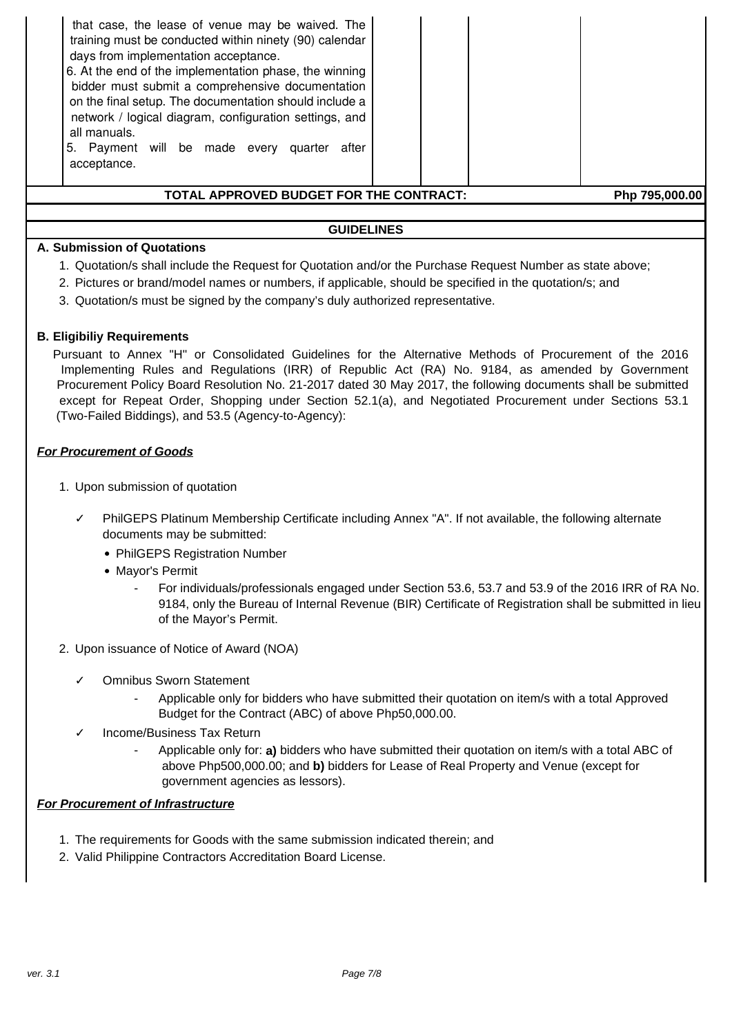| 5. | that case, the lease of venue may be waived. The<br>training must be conducted within ninety (90) calendar<br>days from implementation acceptance.<br>6. At the end of the implementation phase, the winning<br>bidder must submit a comprehensive documentation<br>on the final setup. The documentation should include a<br>network / logical diagram, configuration settings, and<br>all manuals.<br>Payment will be made every<br>after<br>quarter<br>acceptance. |  |  |  |  |  |  |  |
|----|-----------------------------------------------------------------------------------------------------------------------------------------------------------------------------------------------------------------------------------------------------------------------------------------------------------------------------------------------------------------------------------------------------------------------------------------------------------------------|--|--|--|--|--|--|--|
|    | TOTAL APPROVED BUDGET FOR THE CONTRACT:<br>Php 795,000.00                                                                                                                                                                                                                                                                                                                                                                                                             |  |  |  |  |  |  |  |

#### **GUIDELINES**

#### **A. Submission of Quotations**

- 1. Quotation/s shall include the Request for Quotation and/or the Purchase Request Number as state above;
- 2. Pictures or brand/model names or numbers, if applicable, should be specified in the quotation/s; and
- 3. Quotation/s must be signed by the company's duly authorized representative.

#### **B. Eligibiliy Requirements**

Pursuant to Annex "H" or Consolidated Guidelines for the Alternative Methods of Procurement of the 2016 Implementing Rules and Regulations (IRR) of Republic Act (RA) No. 9184, as amended by Government Procurement Policy Board Resolution No. 21-2017 dated 30 May 2017, the following documents shall be submitted except for Repeat Order, Shopping under Section 52.1(a), and Negotiated Procurement under Sections 53.1 (Two-Failed Biddings), and 53.5 (Agency-to-Agency):

#### **For Procurement of Goods**

- 1. Upon submission of quotation
	- PhilGEPS Platinum Membership Certificate including Annex "A". If not available, the following alternate documents may be submitted:
		- PhilGEPS Registration Number
		- Mayor's Permit
			- For individuals/professionals engaged under Section 53.6, 53.7 and 53.9 of the 2016 IRR of RA No. 9184, only the Bureau of Internal Revenue (BIR) Certificate of Registration shall be submitted in lieu of the Mayor's Permit.
- 2. Upon issuance of Notice of Award (NOA)
	- ✓ Omnibus Sworn Statement
		- Applicable only for bidders who have submitted their quotation on item/s with a total Approved Budget for the Contract (ABC) of above Php50,000.00.
	- Income/Business Tax Return
		- Applicable only for: **a)** bidders who have submitted their quotation on item/s with a total ABC of above Php500,000.00; and **b)** bidders for Lease of Real Property and Venue (except for government agencies as lessors).

#### **For Procurement of Infrastructure**

- 1. The requirements for Goods with the same submission indicated therein; and
- 2. Valid Philippine Contractors Accreditation Board License.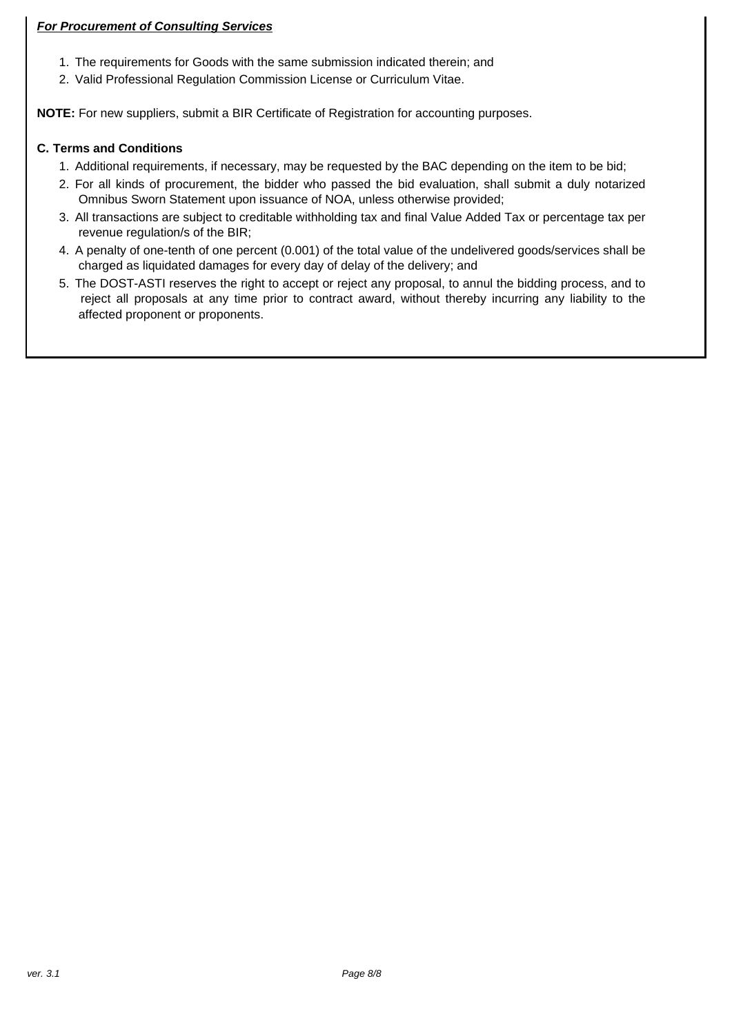## **For Procurement of Consulting Services**

- 1. The requirements for Goods with the same submission indicated therein; and
- 2. Valid Professional Regulation Commission License or Curriculum Vitae.

**NOTE:** For new suppliers, submit a BIR Certificate of Registration for accounting purposes.

## **C. Terms and Conditions**

- 1. Additional requirements, if necessary, may be requested by the BAC depending on the item to be bid;
- 2. For all kinds of procurement, the bidder who passed the bid evaluation, shall submit a duly notarized Omnibus Sworn Statement upon issuance of NOA, unless otherwise provided;
- 3. All transactions are subject to creditable withholding tax and final Value Added Tax or percentage tax per revenue regulation/s of the BIR;
- 4. A penalty of one-tenth of one percent (0.001) of the total value of the undelivered goods/services shall be charged as liquidated damages for every day of delay of the delivery; and
- 5. The DOST-ASTI reserves the right to accept or reject any proposal, to annul the bidding process, and to reject all proposals at any time prior to contract award, without thereby incurring any liability to the affected proponent or proponents.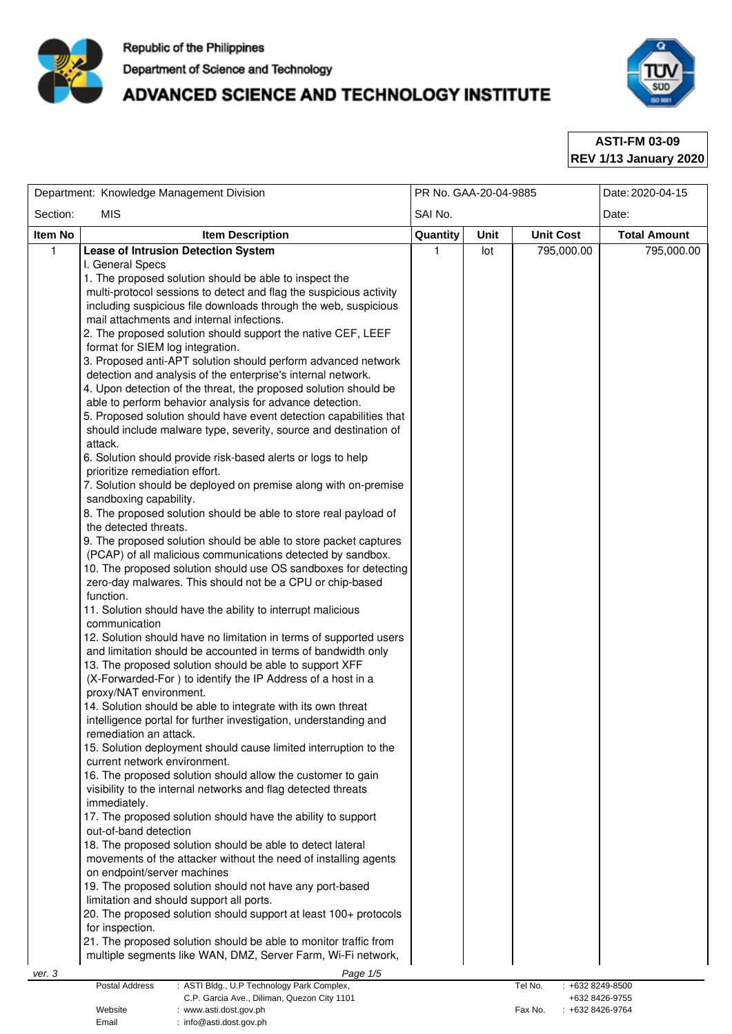

# ADVANCED SCIENCE AND TECHNOLOGY INSTITUTE



**ASTI-FM 03-09 REV 1/13 January 2020**

|              | Department: Knowledge Management Division                                                                                                                                                                                                                                                                                                                                                                                                                                                                                                                                                                                                                                                                                                                                                                                                                                                                                                                                                                                                                                                                                                                                                                                                                                                                                                                                                                                                                                                                                                                                                                                                                                                                                                                                                                                                                                                                                                                                                                                                                                                                                                                                                                                                                                                                                                                                                                                                                                                                                                                                                                                                                                                                                                     | PR No. GAA-20-04-9885 |      | Date: 2020-04-15 |                     |  |
|--------------|-----------------------------------------------------------------------------------------------------------------------------------------------------------------------------------------------------------------------------------------------------------------------------------------------------------------------------------------------------------------------------------------------------------------------------------------------------------------------------------------------------------------------------------------------------------------------------------------------------------------------------------------------------------------------------------------------------------------------------------------------------------------------------------------------------------------------------------------------------------------------------------------------------------------------------------------------------------------------------------------------------------------------------------------------------------------------------------------------------------------------------------------------------------------------------------------------------------------------------------------------------------------------------------------------------------------------------------------------------------------------------------------------------------------------------------------------------------------------------------------------------------------------------------------------------------------------------------------------------------------------------------------------------------------------------------------------------------------------------------------------------------------------------------------------------------------------------------------------------------------------------------------------------------------------------------------------------------------------------------------------------------------------------------------------------------------------------------------------------------------------------------------------------------------------------------------------------------------------------------------------------------------------------------------------------------------------------------------------------------------------------------------------------------------------------------------------------------------------------------------------------------------------------------------------------------------------------------------------------------------------------------------------------------------------------------------------------------------------------------------------|-----------------------|------|------------------|---------------------|--|
| Section:     | <b>MIS</b>                                                                                                                                                                                                                                                                                                                                                                                                                                                                                                                                                                                                                                                                                                                                                                                                                                                                                                                                                                                                                                                                                                                                                                                                                                                                                                                                                                                                                                                                                                                                                                                                                                                                                                                                                                                                                                                                                                                                                                                                                                                                                                                                                                                                                                                                                                                                                                                                                                                                                                                                                                                                                                                                                                                                    | SAI No.               |      | Date:            |                     |  |
| Item No      | <b>Item Description</b>                                                                                                                                                                                                                                                                                                                                                                                                                                                                                                                                                                                                                                                                                                                                                                                                                                                                                                                                                                                                                                                                                                                                                                                                                                                                                                                                                                                                                                                                                                                                                                                                                                                                                                                                                                                                                                                                                                                                                                                                                                                                                                                                                                                                                                                                                                                                                                                                                                                                                                                                                                                                                                                                                                                       | Quantity              | Unit | <b>Unit Cost</b> | <b>Total Amount</b> |  |
| $\mathbf{1}$ | <b>Lease of Intrusion Detection System</b><br>I. General Specs<br>1. The proposed solution should be able to inspect the<br>multi-protocol sessions to detect and flag the suspicious activity<br>including suspicious file downloads through the web, suspicious<br>mail attachments and internal infections.<br>2. The proposed solution should support the native CEF, LEEF<br>format for SIEM log integration.<br>3. Proposed anti-APT solution should perform advanced network<br>detection and analysis of the enterprise's internal network.<br>4. Upon detection of the threat, the proposed solution should be<br>able to perform behavior analysis for advance detection.<br>5. Proposed solution should have event detection capabilities that<br>should include malware type, severity, source and destination of<br>attack.<br>6. Solution should provide risk-based alerts or logs to help<br>prioritize remediation effort.<br>7. Solution should be deployed on premise along with on-premise<br>sandboxing capability.<br>8. The proposed solution should be able to store real payload of<br>the detected threats.<br>9. The proposed solution should be able to store packet captures<br>(PCAP) of all malicious communications detected by sandbox.<br>10. The proposed solution should use OS sandboxes for detecting<br>zero-day malwares. This should not be a CPU or chip-based<br>function.<br>11. Solution should have the ability to interrupt malicious<br>communication<br>12. Solution should have no limitation in terms of supported users<br>and limitation should be accounted in terms of bandwidth only<br>13. The proposed solution should be able to support XFF<br>(X-Forwarded-For) to identify the IP Address of a host in a<br>proxy/NAT environment.<br>14. Solution should be able to integrate with its own threat<br>intelligence portal for further investigation, understanding and<br>remediation an attack.<br>15. Solution deployment should cause limited interruption to the<br>current network environment.<br>16. The proposed solution should allow the customer to gain<br>visibility to the internal networks and flag detected threats<br>immediately.<br>17. The proposed solution should have the ability to support<br>out-of-band detection<br>18. The proposed solution should be able to detect lateral<br>movements of the attacker without the need of installing agents<br>on endpoint/server machines<br>19. The proposed solution should not have any port-based<br>limitation and should support all ports.<br>20. The proposed solution should support at least 100+ protocols<br>for inspection.<br>21. The proposed solution should be able to monitor traffic from | 1.                    | lot  | 795,000.00       | 795,000.00          |  |
|              | multiple segments like WAN, DMZ, Server Farm, Wi-Fi network,                                                                                                                                                                                                                                                                                                                                                                                                                                                                                                                                                                                                                                                                                                                                                                                                                                                                                                                                                                                                                                                                                                                                                                                                                                                                                                                                                                                                                                                                                                                                                                                                                                                                                                                                                                                                                                                                                                                                                                                                                                                                                                                                                                                                                                                                                                                                                                                                                                                                                                                                                                                                                                                                                  |                       |      |                  |                     |  |
| ver. 3       | Page 1/5                                                                                                                                                                                                                                                                                                                                                                                                                                                                                                                                                                                                                                                                                                                                                                                                                                                                                                                                                                                                                                                                                                                                                                                                                                                                                                                                                                                                                                                                                                                                                                                                                                                                                                                                                                                                                                                                                                                                                                                                                                                                                                                                                                                                                                                                                                                                                                                                                                                                                                                                                                                                                                                                                                                                      |                       |      |                  |                     |  |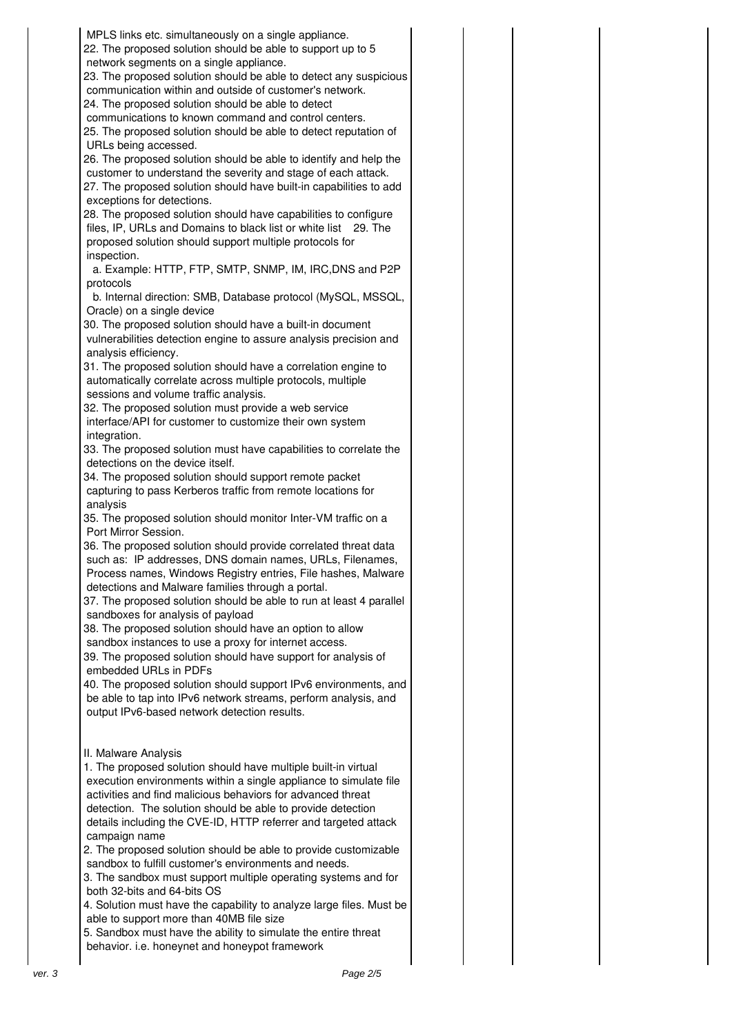| MPLS links etc. simultaneously on a single appliance.<br>22. The proposed solution should be able to support up to 5<br>network segments on a single appliance.<br>23. The proposed solution should be able to detect any suspicious<br>communication within and outside of customer's network.<br>24. The proposed solution should be able to detect<br>communications to known command and control centers.<br>25. The proposed solution should be able to detect reputation of<br>URLs being accessed. |  |
|-----------------------------------------------------------------------------------------------------------------------------------------------------------------------------------------------------------------------------------------------------------------------------------------------------------------------------------------------------------------------------------------------------------------------------------------------------------------------------------------------------------|--|
| 26. The proposed solution should be able to identify and help the<br>customer to understand the severity and stage of each attack.<br>27. The proposed solution should have built-in capabilities to add<br>exceptions for detections.                                                                                                                                                                                                                                                                    |  |
| 28. The proposed solution should have capabilities to configure<br>files, IP, URLs and Domains to black list or white list 29. The<br>proposed solution should support multiple protocols for<br>inspection.                                                                                                                                                                                                                                                                                              |  |
| a. Example: HTTP, FTP, SMTP, SNMP, IM, IRC, DNS and P2P<br>protocols                                                                                                                                                                                                                                                                                                                                                                                                                                      |  |
| b. Internal direction: SMB, Database protocol (MySQL, MSSQL,<br>Oracle) on a single device                                                                                                                                                                                                                                                                                                                                                                                                                |  |
| 30. The proposed solution should have a built-in document<br>vulnerabilities detection engine to assure analysis precision and<br>analysis efficiency.                                                                                                                                                                                                                                                                                                                                                    |  |
| 31. The proposed solution should have a correlation engine to<br>automatically correlate across multiple protocols, multiple<br>sessions and volume traffic analysis.                                                                                                                                                                                                                                                                                                                                     |  |
| 32. The proposed solution must provide a web service<br>interface/API for customer to customize their own system                                                                                                                                                                                                                                                                                                                                                                                          |  |
| integration.<br>33. The proposed solution must have capabilities to correlate the<br>detections on the device itself.                                                                                                                                                                                                                                                                                                                                                                                     |  |
| 34. The proposed solution should support remote packet<br>capturing to pass Kerberos traffic from remote locations for<br>analysis                                                                                                                                                                                                                                                                                                                                                                        |  |
| 35. The proposed solution should monitor Inter-VM traffic on a<br>Port Mirror Session.                                                                                                                                                                                                                                                                                                                                                                                                                    |  |
| 36. The proposed solution should provide correlated threat data<br>such as: IP addresses, DNS domain names, URLs, Filenames,<br>Process names, Windows Registry entries, File hashes, Malware<br>detections and Malware families through a portal.                                                                                                                                                                                                                                                        |  |
| 37. The proposed solution should be able to run at least 4 parallel<br>sandboxes for analysis of payload                                                                                                                                                                                                                                                                                                                                                                                                  |  |
| 38. The proposed solution should have an option to allow<br>sandbox instances to use a proxy for internet access.                                                                                                                                                                                                                                                                                                                                                                                         |  |
| 39. The proposed solution should have support for analysis of<br>embedded URLs in PDFs                                                                                                                                                                                                                                                                                                                                                                                                                    |  |
| 40. The proposed solution should support IPv6 environments, and<br>be able to tap into IPv6 network streams, perform analysis, and<br>output IPv6-based network detection results.                                                                                                                                                                                                                                                                                                                        |  |
| II. Malware Analysis<br>1. The proposed solution should have multiple built-in virtual<br>execution environments within a single appliance to simulate file<br>activities and find malicious behaviors for advanced threat                                                                                                                                                                                                                                                                                |  |
| detection. The solution should be able to provide detection<br>details including the CVE-ID, HTTP referrer and targeted attack<br>campaign name                                                                                                                                                                                                                                                                                                                                                           |  |
| 2. The proposed solution should be able to provide customizable<br>sandbox to fulfill customer's environments and needs.<br>3. The sandbox must support multiple operating systems and for<br>both 32-bits and 64-bits OS                                                                                                                                                                                                                                                                                 |  |
| 4. Solution must have the capability to analyze large files. Must be<br>able to support more than 40MB file size<br>5. Sandbox must have the ability to simulate the entire threat                                                                                                                                                                                                                                                                                                                        |  |
| behavior. i.e. honeynet and honeypot framework                                                                                                                                                                                                                                                                                                                                                                                                                                                            |  |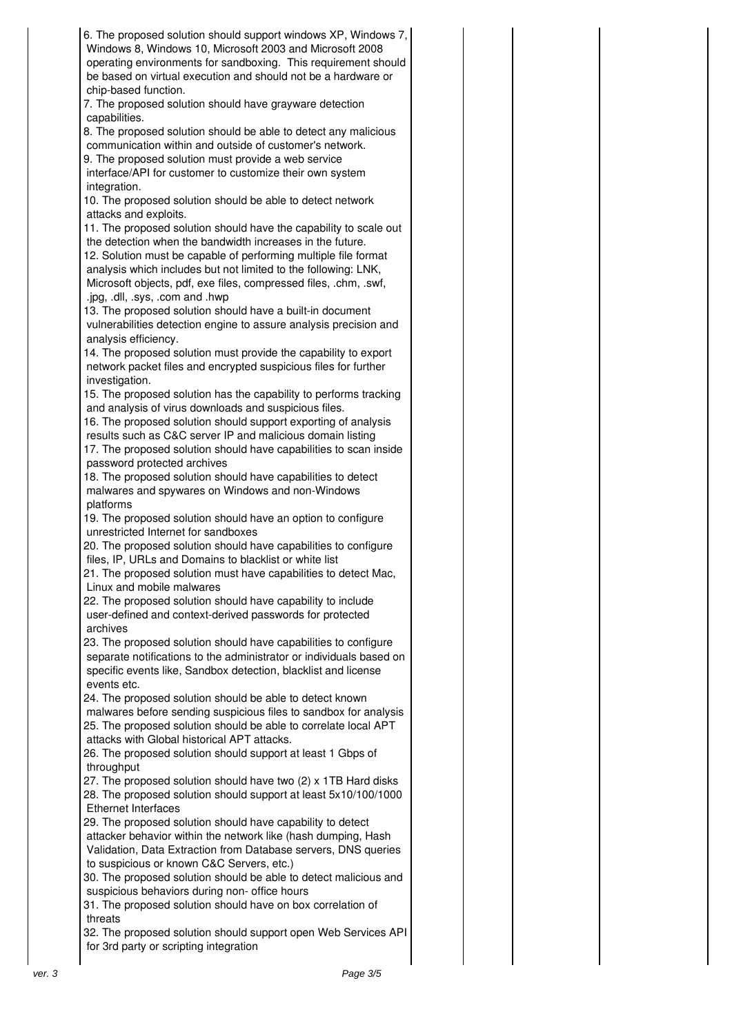6. The proposed solution should support windows XP, Windows 7, Windows 8, Windows 10, Microsoft 2003 and Microsoft 2008 operating environments for sandboxing. This requirement should be based on virtual execution and should not be a hardware or chip-based function. 7. The proposed solution should have grayware detection capabilities. 8. The proposed solution should be able to detect any malicious communication within and outside of customer's network. 9. The proposed solution must provide a web service interface/API for customer to customize their own system integration. 10. The proposed solution should be able to detect network attacks and exploits. 11. The proposed solution should have the capability to scale out the detection when the bandwidth increases in the future. 12. Solution must be capable of performing multiple file format analysis which includes but not limited to the following: LNK, Microsoft objects, pdf, exe files, compressed files, .chm, .swf, .jpg, .dll, .sys, .com and .hwp 13. The proposed solution should have a built-in document vulnerabilities detection engine to assure analysis precision and analysis efficiency. 14. The proposed solution must provide the capability to export network packet files and encrypted suspicious files for further investigation. 15. The proposed solution has the capability to performs tracking and analysis of virus downloads and suspicious files. 16. The proposed solution should support exporting of analysis results such as C&C server IP and malicious domain listing 17. The proposed solution should have capabilities to scan inside password protected archives 18. The proposed solution should have capabilities to detect malwares and spywares on Windows and non-Windows platforms 19. The proposed solution should have an option to configure unrestricted Internet for sandboxes 20. The proposed solution should have capabilities to configure files, IP, URLs and Domains to blacklist or white list 21. The proposed solution must have capabilities to detect Mac, Linux and mobile malwares 22. The proposed solution should have capability to include user-defined and context-derived passwords for protected archives 23. The proposed solution should have capabilities to configure separate notifications to the administrator or individuals based on specific events like, Sandbox detection, blacklist and license events etc. 24. The proposed solution should be able to detect known malwares before sending suspicious files to sandbox for analysis 25. The proposed solution should be able to correlate local APT attacks with Global historical APT attacks. 26. The proposed solution should support at least 1 Gbps of throughput 27. The proposed solution should have two (2) x 1TB Hard disks 28. The proposed solution should support at least 5x10/100/1000 Ethernet Interfaces 29. The proposed solution should have capability to detect attacker behavior within the network like (hash dumping, Hash Validation, Data Extraction from Database servers, DNS queries to suspicious or known C&C Servers, etc.) 30. The proposed solution should be able to detect malicious and suspicious behaviors during non- office hours 31. The proposed solution should have on box correlation of threats 32. The proposed solution should support open Web Services API for 3rd party or scripting integration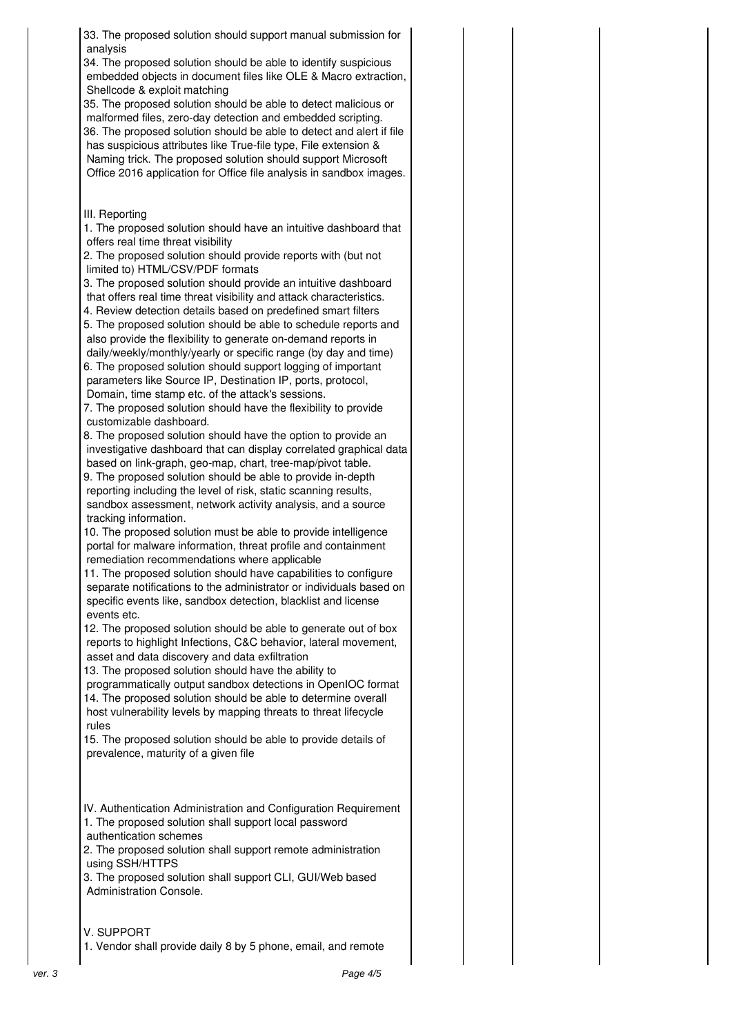33. The proposed solution should support manual submission for analysis 34. The proposed solution should be able to identify suspicious embedded objects in document files like OLE & Macro extraction, Shellcode & exploit matching 35. The proposed solution should be able to detect malicious or malformed files, zero-day detection and embedded scripting. 36. The proposed solution should be able to detect and alert if file has suspicious attributes like True-file type, File extension & Naming trick. The proposed solution should support Microsoft Office 2016 application for Office file analysis in sandbox images. III. Reporting 1. The proposed solution should have an intuitive dashboard that offers real time threat visibility 2. The proposed solution should provide reports with (but not limited to) HTML/CSV/PDF formats 3. The proposed solution should provide an intuitive dashboard that offers real time threat visibility and attack characteristics. 4. Review detection details based on predefined smart filters 5. The proposed solution should be able to schedule reports and also provide the flexibility to generate on-demand reports in daily/weekly/monthly/yearly or specific range (by day and time) 6. The proposed solution should support logging of important parameters like Source IP, Destination IP, ports, protocol, Domain, time stamp etc. of the attack's sessions. 7. The proposed solution should have the flexibility to provide customizable dashboard. 8. The proposed solution should have the option to provide an investigative dashboard that can display correlated graphical data based on link-graph, geo-map, chart, tree-map/pivot table. 9. The proposed solution should be able to provide in-depth reporting including the level of risk, static scanning results, sandbox assessment, network activity analysis, and a source tracking information. 10. The proposed solution must be able to provide intelligence portal for malware information, threat profile and containment remediation recommendations where applicable 11. The proposed solution should have capabilities to configure separate notifications to the administrator or individuals based on specific events like, sandbox detection, blacklist and license events etc. 12. The proposed solution should be able to generate out of box reports to highlight Infections, C&C behavior, lateral movement, asset and data discovery and data exfiltration 13. The proposed solution should have the ability to programmatically output sandbox detections in OpenIOC format 14. The proposed solution should be able to determine overall host vulnerability levels by mapping threats to threat lifecycle rules 15. The proposed solution should be able to provide details of prevalence, maturity of a given file IV. Authentication Administration and Configuration Requirement 1. The proposed solution shall support local password authentication schemes 2. The proposed solution shall support remote administration using SSH/HTTPS 3. The proposed solution shall support CLI, GUI/Web based Administration Console. V. SUPPORT 1. Vendor shall provide daily 8 by 5 phone, email, and remote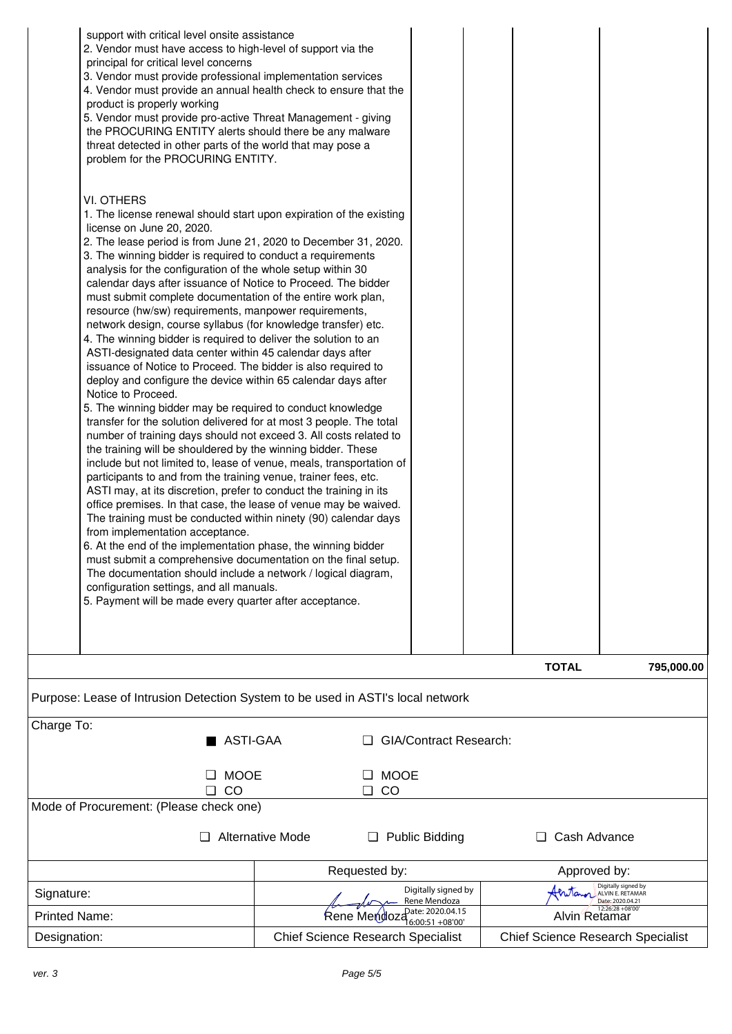| support with critical level onsite assistance<br>2. Vendor must have access to high-level of support via the<br>principal for critical level concerns<br>3. Vendor must provide professional implementation services<br>4. Vendor must provide an annual health check to ensure that the<br>product is properly working<br>5. Vendor must provide pro-active Threat Management - giving<br>the PROCURING ENTITY alerts should there be any malware<br>threat detected in other parts of the world that may pose a<br>problem for the PROCURING ENTITY.<br>VI. OTHERS<br>1. The license renewal should start upon expiration of the existing<br>license on June 20, 2020.<br>2. The lease period is from June 21, 2020 to December 31, 2020.<br>3. The winning bidder is required to conduct a requirements<br>analysis for the configuration of the whole setup within 30<br>calendar days after issuance of Notice to Proceed. The bidder<br>must submit complete documentation of the entire work plan,<br>resource (hw/sw) requirements, manpower requirements,<br>network design, course syllabus (for knowledge transfer) etc.<br>4. The winning bidder is required to deliver the solution to an<br>ASTI-designated data center within 45 calendar days after<br>issuance of Notice to Proceed. The bidder is also required to<br>deploy and configure the device within 65 calendar days after<br>Notice to Proceed.<br>5. The winning bidder may be required to conduct knowledge<br>transfer for the solution delivered for at most 3 people. The total<br>number of training days should not exceed 3. All costs related to<br>the training will be shouldered by the winning bidder. These<br>include but not limited to, lease of venue, meals, transportation of<br>participants to and from the training venue, trainer fees, etc.<br>ASTI may, at its discretion, prefer to conduct the training in its<br>office premises. In that case, the lease of venue may be waived.<br>The training must be conducted within ninety (90) calendar days<br>from implementation acceptance.<br>6. At the end of the implementation phase, the winning bidder<br>must submit a comprehensive documentation on the final setup.<br>The documentation should include a network / logical diagram,<br>configuration settings, and all manuals.<br>5. Payment will be made every quarter after acceptance. |                                                                                 | <b>TOTAL</b><br>795,000.00          |  |  |  |  |  |  |  |
|------------------------------------------------------------------------------------------------------------------------------------------------------------------------------------------------------------------------------------------------------------------------------------------------------------------------------------------------------------------------------------------------------------------------------------------------------------------------------------------------------------------------------------------------------------------------------------------------------------------------------------------------------------------------------------------------------------------------------------------------------------------------------------------------------------------------------------------------------------------------------------------------------------------------------------------------------------------------------------------------------------------------------------------------------------------------------------------------------------------------------------------------------------------------------------------------------------------------------------------------------------------------------------------------------------------------------------------------------------------------------------------------------------------------------------------------------------------------------------------------------------------------------------------------------------------------------------------------------------------------------------------------------------------------------------------------------------------------------------------------------------------------------------------------------------------------------------------------------------------------------------------------------------------------------------------------------------------------------------------------------------------------------------------------------------------------------------------------------------------------------------------------------------------------------------------------------------------------------------------------------------------------------------------------------------------------------------------------------------------------------------------------------------|---------------------------------------------------------------------------------|-------------------------------------|--|--|--|--|--|--|--|
|                                                                                                                                                                                                                                                                                                                                                                                                                                                                                                                                                                                                                                                                                                                                                                                                                                                                                                                                                                                                                                                                                                                                                                                                                                                                                                                                                                                                                                                                                                                                                                                                                                                                                                                                                                                                                                                                                                                                                                                                                                                                                                                                                                                                                                                                                                                                                                                                            | Purpose: Lease of Intrusion Detection System to be used in ASTI's local network |                                     |  |  |  |  |  |  |  |
| Charge To:                                                                                                                                                                                                                                                                                                                                                                                                                                                                                                                                                                                                                                                                                                                                                                                                                                                                                                                                                                                                                                                                                                                                                                                                                                                                                                                                                                                                                                                                                                                                                                                                                                                                                                                                                                                                                                                                                                                                                                                                                                                                                                                                                                                                                                                                                                                                                                                                 | ASTI-GAA<br><b>GIA/Contract Research:</b>                                       |                                     |  |  |  |  |  |  |  |
| <b>MOOE</b>                                                                                                                                                                                                                                                                                                                                                                                                                                                                                                                                                                                                                                                                                                                                                                                                                                                                                                                                                                                                                                                                                                                                                                                                                                                                                                                                                                                                                                                                                                                                                                                                                                                                                                                                                                                                                                                                                                                                                                                                                                                                                                                                                                                                                                                                                                                                                                                                | <b>MOOE</b>                                                                     |                                     |  |  |  |  |  |  |  |
| CO<br>□<br>Mode of Procurement: (Please check one)                                                                                                                                                                                                                                                                                                                                                                                                                                                                                                                                                                                                                                                                                                                                                                                                                                                                                                                                                                                                                                                                                                                                                                                                                                                                                                                                                                                                                                                                                                                                                                                                                                                                                                                                                                                                                                                                                                                                                                                                                                                                                                                                                                                                                                                                                                                                                         | CO<br>o.                                                                        |                                     |  |  |  |  |  |  |  |
|                                                                                                                                                                                                                                                                                                                                                                                                                                                                                                                                                                                                                                                                                                                                                                                                                                                                                                                                                                                                                                                                                                                                                                                                                                                                                                                                                                                                                                                                                                                                                                                                                                                                                                                                                                                                                                                                                                                                                                                                                                                                                                                                                                                                                                                                                                                                                                                                            |                                                                                 |                                     |  |  |  |  |  |  |  |
| Alternative Mode<br>Cash Advance<br><b>Public Bidding</b><br>u.                                                                                                                                                                                                                                                                                                                                                                                                                                                                                                                                                                                                                                                                                                                                                                                                                                                                                                                                                                                                                                                                                                                                                                                                                                                                                                                                                                                                                                                                                                                                                                                                                                                                                                                                                                                                                                                                                                                                                                                                                                                                                                                                                                                                                                                                                                                                            |                                                                                 |                                     |  |  |  |  |  |  |  |
|                                                                                                                                                                                                                                                                                                                                                                                                                                                                                                                                                                                                                                                                                                                                                                                                                                                                                                                                                                                                                                                                                                                                                                                                                                                                                                                                                                                                                                                                                                                                                                                                                                                                                                                                                                                                                                                                                                                                                                                                                                                                                                                                                                                                                                                                                                                                                                                                            |                                                                                 |                                     |  |  |  |  |  |  |  |
|                                                                                                                                                                                                                                                                                                                                                                                                                                                                                                                                                                                                                                                                                                                                                                                                                                                                                                                                                                                                                                                                                                                                                                                                                                                                                                                                                                                                                                                                                                                                                                                                                                                                                                                                                                                                                                                                                                                                                                                                                                                                                                                                                                                                                                                                                                                                                                                                            | Requested by:                                                                   | Approved by:<br>Digitally signed by |  |  |  |  |  |  |  |

|                      | Requested by:                            | Approved by:                                  |
|----------------------|------------------------------------------|-----------------------------------------------|
| Signature:           | Digitally signed by<br>Rene Mendoza      | Anton Digitally signed by<br>Date: 2020.04.21 |
| <b>Printed Name:</b> | Rene Mendoza <sup>Date:</sup> 2020.04.15 | 12:26:28 +08'00'<br><b>Alvin</b> Retamar      |
| Designation:         | <b>Chief Science Research Specialist</b> | <b>Chief Science Research Specialist</b>      |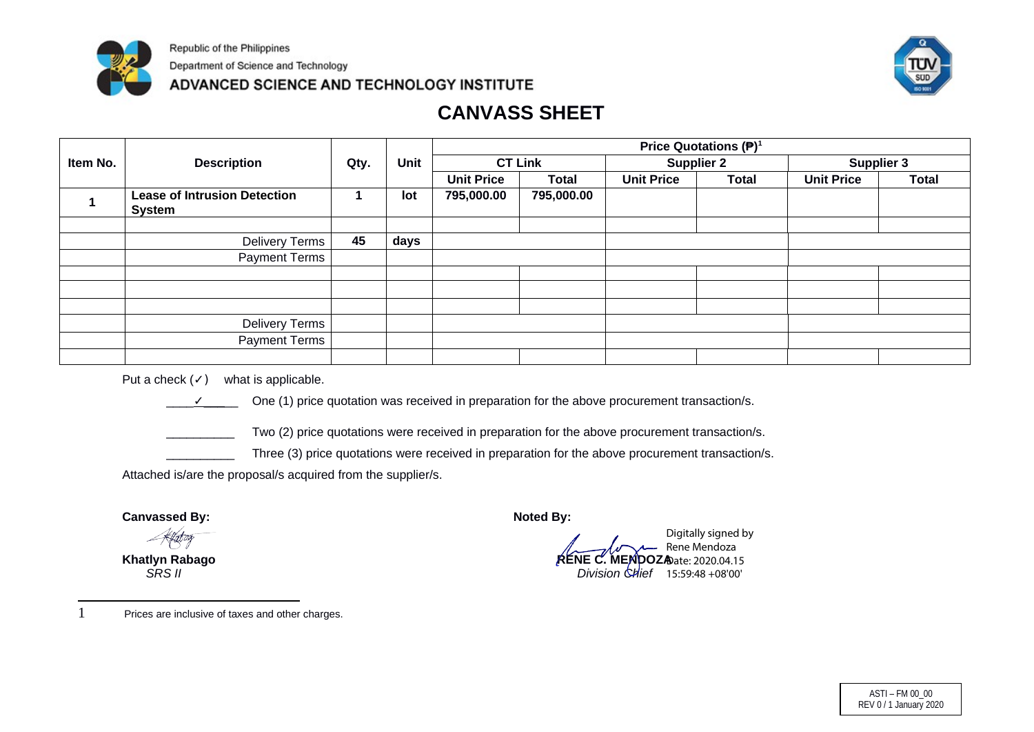

Republic of the Philippines

Department of Science and Technology

ADVANCED SCIENCE AND TECHNOLOGY INSTITUTE



# **CANVASS SHEET**

|          |                                                      |              |             |                   |              |                   | Price Quotations $(\mathbf{P})^1$ |                   |                   |
|----------|------------------------------------------------------|--------------|-------------|-------------------|--------------|-------------------|-----------------------------------|-------------------|-------------------|
| Item No. | <b>Description</b>                                   | Qty.         | <b>Unit</b> | <b>CT Link</b>    |              | <b>Supplier 2</b> |                                   |                   | <b>Supplier 3</b> |
|          |                                                      |              |             | <b>Unit Price</b> | <b>Total</b> | <b>Unit Price</b> | <b>Total</b>                      | <b>Unit Price</b> | <b>Total</b>      |
|          | <b>Lease of Intrusion Detection</b><br><b>System</b> | $\mathbf{1}$ | lot         | 795,000.00        | 795,000.00   |                   |                                   |                   |                   |
|          |                                                      |              |             |                   |              |                   |                                   |                   |                   |
|          | <b>Delivery Terms</b>                                | 45           | days        |                   |              |                   |                                   |                   |                   |
|          | <b>Payment Terms</b>                                 |              |             |                   |              |                   |                                   |                   |                   |
|          |                                                      |              |             |                   |              |                   |                                   |                   |                   |
|          |                                                      |              |             |                   |              |                   |                                   |                   |                   |
|          |                                                      |              |             |                   |              |                   |                                   |                   |                   |
|          | <b>Delivery Terms</b>                                |              |             |                   |              |                   |                                   |                   |                   |
|          | <b>Payment Terms</b>                                 |              |             |                   |              |                   |                                   |                   |                   |
|          |                                                      |              |             |                   |              |                   |                                   |                   |                   |

Put a check  $($  $\checkmark$ ) what is applicable.



One (1) price quotation was received in preparation for the above procurement transaction/s.

Two (2) price quotations were received in preparation for the above procurement transaction/s.

Three (3) price quotations were received in preparation for the above procurement transaction/s.

Attached is/are the proposal/s acquired from the supplier/s.

**Canvassed By: Noted By:** 

**Khatlyn Rabago**<br>SRS II

 *SRS II Division Chief* 15:59:48 +08'00'Digitally signed by Rene Mendoza MENDOZADate: 2020.04.15

<span id="page-13-0"></span>1 Prices are inclusive of taxes and other charges.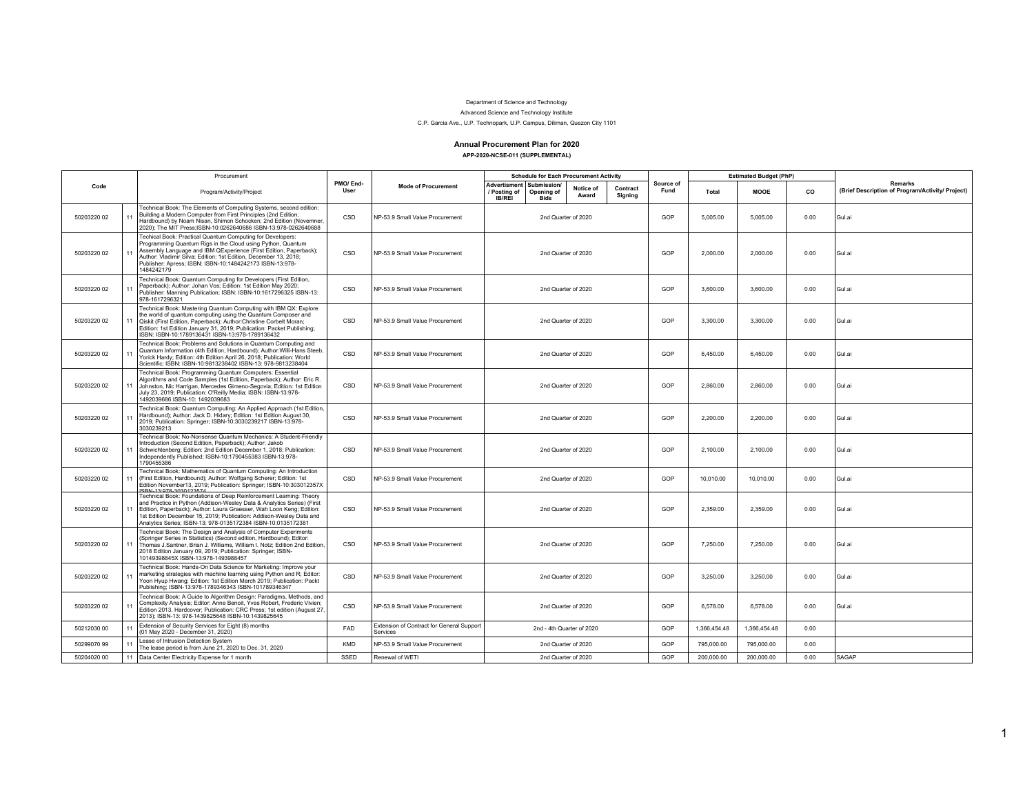#### Department of Science and Technology

Advanced Science and Technology Institute

C.P. Garcia Ave., U.P. Technopark, U.P. Campus, Diliman, Quezon City 1101

#### Annual Procurement Plan for 2020 APP-2020-NCSE-011 (SUPPLEMENTAL)

|             |    | Procurement                                                                                                                                                                                                                                                                                                                                                 |                  |                                                       | <b>Schedule for Each Procurement Activity</b>                                   |                     |                     |                   | <b>Estimated Budget (PhP)</b> |              |        |                                                                    |
|-------------|----|-------------------------------------------------------------------------------------------------------------------------------------------------------------------------------------------------------------------------------------------------------------------------------------------------------------------------------------------------------------|------------------|-------------------------------------------------------|---------------------------------------------------------------------------------|---------------------|---------------------|-------------------|-------------------------------|--------------|--------|--------------------------------------------------------------------|
| Code        |    | Program/Activity/Project                                                                                                                                                                                                                                                                                                                                    | PMO/End-<br>User | <b>Mode of Procurement</b>                            | Advertisment Submission/<br>Opening of<br>/ Posting of<br>IB/REI<br><b>Bids</b> | Notice of<br>Award  | Contract<br>Signing | Source of<br>Fund | Total                         | <b>MOOE</b>  | co     | <b>Remarks</b><br>(Brief Description of Program/Activity/ Project) |
| 50203220 02 | 11 | Technical Book: The Elements of Computing Systems, second edition:<br>Building a Modern Computer from First Principles (2nd Edition,<br>Hardbound) by Noam Nisan, Shimon Schocken; 2nd Edition (Novemner.<br>2020); The MIT Press;ISBN-10:0262640686 ISBN-13:978-0262640688                                                                                 | CSD              | NP-53.9 Small Value Procurement                       | 2nd Quarter of 2020                                                             |                     |                     | GOP               | 5.005.00                      | 5.005.00     | 0.00   | Gul.ai                                                             |
| 50203220 02 | 11 | Techical Book: Practical Quantum Computing for Developers:<br>Programming Quantum Rigs in the Cloud using Python, Quantum<br>Assembly Language and IBM QExperience (First Edition, Paperback);<br>Author: Vladimir Silva; Edition: 1st Edition, December 13, 2018;<br>Publisher: Apress; ISBN: ISBN-10:1484242173 ISBN-13:978-<br>1484242179                | CSD              | NP-53.9 Small Value Procurement                       | 2nd Quarter of 2020                                                             |                     |                     | GOP               | 2,000.00                      | 2,000.00     | 0.00   | Gul.ai                                                             |
| 50203220.02 |    | Technical Book: Quantum Computing for Developers (First Edition,<br>Paperback); Author: Johan Vos; Edition: 1st Edition May 2020;<br>Publisher: Manning Publication; ISBN: ISBN-10:1617296325 ISBN-13:<br>978-1617296321                                                                                                                                    | CSD              | NP-53.9 Small Value Procurement                       | 2nd Quarter of 2020                                                             |                     |                     | GOP               | 3.600.00                      | 3.600.00     | 0.00   | Gul.ai                                                             |
| 50203220 02 | 11 | Technical Book: Mastering Quantum Computing with IBM QX: Explore<br>the world of quantum computing using the Quantum Composer and<br>Qiskit (First Edition, Paperback); Author: Christine Corbelt Moran;<br>Edition: 1st Edition January 31, 2019; Publication: Packet Publishing;<br>ISBN: ISBN-10:1789136431 ISBN-13:978-1789136432                       | CSD              | NP-53.9 Small Value Procurement                       |                                                                                 | 2nd Quarter of 2020 |                     | GOP               | 3.300.00                      | 3.300.00     | 0.00   | Gul.ai                                                             |
| 50203220 02 | 11 | Technical Book: Problems and Solutions in Quantum Computing and<br>Quantum Information (4th Edition, Hardbound); Author: Willi-Hans Steeb,<br>Yorick Hardy; Edition: 4th Edition April 26, 2018; Publication: World<br>Scientific: ISBN: ISBN-10:9813238402 ISBN-13: 978-9813238404                                                                         | CSD              | NP-53.9 Small Value Procurement                       |                                                                                 | 2nd Quarter of 2020 |                     | GOP               | 6,450.00                      | 6.450.00     | 0.00   | Gul.ai                                                             |
| 50203220 02 | 11 | Technical Book: Programming Quantum Computers: Essential<br>Algorithms and Code Samples (1st Edition, Paperback); Author: Eric R.<br>Johnston, Nic Harrigan, Mercedes Gimeno-Segovia; Edition: 1st Edition<br>July 23, 2019; Publication: O'Reilly Media; ISBN: ISBN-13:978-<br>1492039686 ISBN-10: 1492039683                                              | CSD              | NP-53.9 Small Value Procurement                       | 2nd Quarter of 2020                                                             |                     | GOP                 | 2,860.00          | 2,860.00                      | 0.00         | Gul.ai |                                                                    |
| 50203220 02 | 11 | Fechnical Book: Quantum Computing: An Applied Approach (1st Edition<br>Hardbound); Author: Jack D. Hidary; Edition: 1st Edition August 30,<br>2019; Publication: Springer; ISBN-10:3030239217 ISBN-13:978-<br>3030239213                                                                                                                                    | CSD              | NP-53.9 Small Value Procurement                       | 2nd Quarter of 2020                                                             |                     | GOP                 | 2,200.00          | 2,200.00                      | 0.00         | Gul.ai |                                                                    |
| 50203220 02 | 11 | Technical Book: No-Nonsense Quantum Mechanics: A Student-Friendly<br>Introduction (Second Edition, Paperback); Author: Jakob<br>Schwichtenberg; Edition: 2nd Edition December 1, 2018; Publication:<br>Independently Published; ISBN-10:1790455383 ISBN-13:978-<br>1790455386                                                                               | CSD              | NP-53.9 Small Value Procurement                       |                                                                                 | 2nd Quarter of 2020 |                     | GOP               | 2,100.00                      | 2,100.00     | 0.00   | Gul.ai                                                             |
| 50203220 02 | 11 | Fechnical Book: Mathematics of Quantum Computing: An Introduction<br>(First Edition, Hardbound); Author: Wolfgang Scherer; Edition: 1st<br>Edition November13, 2019; Publication: Springer; ISBN-10:303012357X<br>CON 12-070 2020122574                                                                                                                     | CSD              | NP-53.9 Small Value Procurement                       | 2nd Quarter of 2020                                                             |                     |                     | GOP               | 10,010.00                     | 10,010.00    | 0.00   | Gul.ai                                                             |
| 50203220 02 | 11 | Technical Book: Foundations of Deep Reinforcement Learning: Theory<br>and Practice in Python (Addison-Wesley Data & Analytics Series) (First<br>Edition, Paperback); Author: Laura Graesser, Wah Loon Keng; Edition:<br>1st Edition December 15, 2019; Publication: Addison-Wesley Data and<br>Analytics Series; ISBN-13: 978-0135172384 ISBN-10:0135172381 | CSD              | NP-53.9 Small Value Procurement                       |                                                                                 | 2nd Quarter of 2020 |                     | GOP               | 2.359.00                      | 2.359.00     | 0.00   | Gul.ai                                                             |
| 50203220 02 | 11 | Technical Book: The Design and Analysis of Computer Experiments<br>(Springer Series in Statistics) (Second edition, Hardbound); Editor:<br>Thomas J.Santner, Brian J. Williams, William I. Notz; Edition 2nd Edition.<br>2018 Edition January 09, 2019; Publication: Springer; ISBN-<br>10149398845X ISBN-13:978-1493988457                                 | CSD              | NP-53.9 Small Value Procurement                       |                                                                                 | 2nd Quarter of 2020 |                     | GOP               | 7,250.00                      | 7,250.00     | 0.00   | Gul.ai                                                             |
| 50203220 02 | 11 | Technical Book: Hands-On Data Science for Marketing: Improve your<br>marketing strategies with machine learning using Python and R; Editor:<br>Yoon Hyup Hwang; Edition: 1st Edition March 2019; Publication: Packt<br>Publishing; ISBN-13:978-1789346343 ISBN-101789346347                                                                                 | CSD              | NP-53.9 Small Value Procurement                       |                                                                                 | 2nd Quarter of 2020 |                     | GOP               | 3.250.00                      | 3.250.00     | 0.00   | Gul.ai                                                             |
| 50203220 02 | 11 | Technical Book: A Guide to Algorithm Design: Paradigms, Methods, and<br>Complexity Analysis; Editor: Anne Benoit, Yves Robert, Frederic Vivien;<br>Edition 2013, Hardcover; Publication: CRC Press; 1st edition (August 27,<br>2013); ISBN-13: 978-1439825648 ISBN-10:1439825645                                                                            | CSD              | NP-53.9 Small Value Procurement                       |                                                                                 | 2nd Quarter of 2020 |                     | GOP               | 6,578.00                      | 6.578.00     | 0.00   | Gul.ai                                                             |
| 50212030 00 |    | Extension of Security Services for Eight (8) months<br>(01 May 2020 - December 31, 2020)                                                                                                                                                                                                                                                                    | FAD              | Extension of Contract for General Support<br>Services | 2nd - 4th Quarter of 2020                                                       |                     |                     | GOP               | 1.366.454.48                  | 1.366.454.48 | 0.00   |                                                                    |
| 50299070 99 | 11 | ease of Intrusion Detection System<br>The lease period is from June 21, 2020 to Dec. 31, 2020                                                                                                                                                                                                                                                               | <b>KMD</b>       | NP-53.9 Small Value Procurement                       | 2nd Quarter of 2020                                                             |                     |                     | GOP               | 795,000.00                    | 795,000.00   | 0.00   |                                                                    |
| 50204020 00 | 11 | Data Center Electricity Expense for 1 month                                                                                                                                                                                                                                                                                                                 | SSED             | Renewal of WETI                                       |                                                                                 | 2nd Quarter of 2020 |                     |                   | 200.000.00                    | 200,000.00   | 0.00   | SAGAP                                                              |